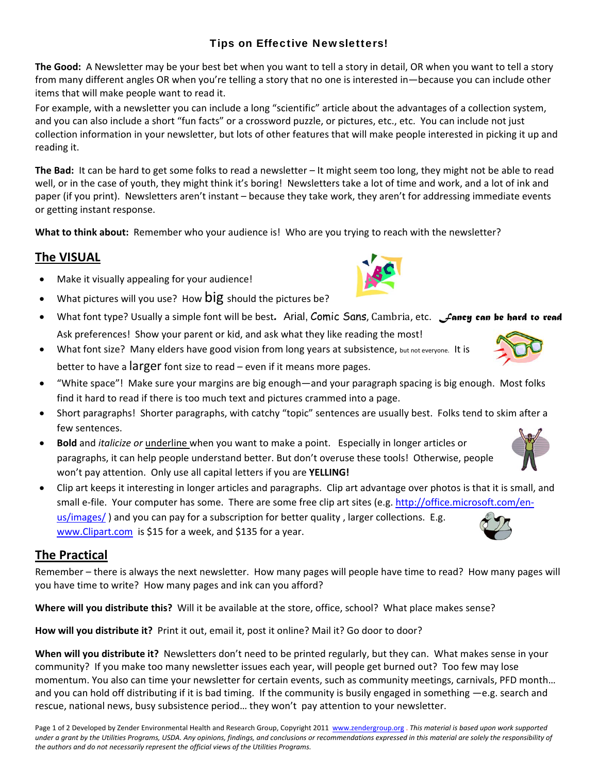### Tips on Effective Newsletters!

**The Good:** A Newsletter may be your best bet when you want to tell a story in detail, OR when you want to tell a story from many different angles OR when you're telling a story that no one is interested in—because you can include other items that will make people want to read it.

For example, with a newsletter you can include a long "scientific" article about the advantages of a collection system, and you can also include a short "fun facts" or a crossword puzzle, or pictures, etc., etc. You can include not just collection information in your newsletter, but lots of other features that will make people interested in picking it up and reading it.

**The Bad:** It can be hard to get some folks to read a newsletter – It might seem too long, they might not be able to read well, or in the case of youth, they might think it's boring! Newsletters take a lot of time and work, and a lot of ink and paper (if you print). Newsletters aren't instant – because they take work, they aren't for addressing immediate events or getting instant response.

**What to think about:** Remember who your audience is! Who are you trying to reach with the newsletter?

### **The VISUAL**

- Make it visually appealing for your audience!
- What pictures will you use? How  $big$  should the pictures be?
- What font type? Usually a simple font will be best*.* Arial, Comic Sans, Cambria, etc. *Fancy can be hard to read*  Ask preferences! Show your parent or kid, and ask what they like reading the most!
- What font size? Many elders have good vision from long years at subsistence, but not everyone. It is better to have a larger font size to read – even if it means more pages.
- "White space"! Make sure your margins are big enough—and your paragraph spacing is big enough. Most folks find it hard to read if there is too much text and pictures crammed into a page.
- Short paragraphs! Shorter paragraphs, with catchy "topic" sentences are usually best. Folks tend to skim after a few sentences.
- **Bold** and *italicize or* underline when you want to make a point. Especially in longer articles or paragraphs, it can help people understand better. But don't overuse these tools! Otherwise, people won't pay attention. Only use all capital letters if you are **YELLING!**
- Clip art keeps it interesting in longer articles and paragraphs. Clip art advantage over photos is that it is small, and small e-file. Your computer has some. There are some free clip art sites (e.g. [http://office.microsoft.com/en](http://office.microsoft.com/en-us/images/)[us/images/](http://office.microsoft.com/en-us/images/) ) and you can pay for a subscription for better quality , larger collections. E.g. www.Clipart.com is \$15 for a week, and \$135 for a year.

#### **The Practical**

Remember – there is always the next newsletter. How many pages will people have time to read? How many pages will you have time to write? How many pages and ink can you afford?

**Where will you distribute this?** Will it be available at the store, office, school? What place makes sense?

**How will you distribute it?** Print it out, email it, post it online? Mail it? Go door to door?

**When will you distribute it?** Newsletters don't need to be printed regularly, but they can. What makes sense in your community? If you make too many newsletter issues each year, will people get burned out? Too few may lose momentum. You also can time your newsletter for certain events, such as community meetings, carnivals, PFD month… and you can hold off distributing if it is bad timing. If the community is busily engaged in something  $-e.g.$  search and rescue, national news, busy subsistence period… they won't pay attention to your newsletter.